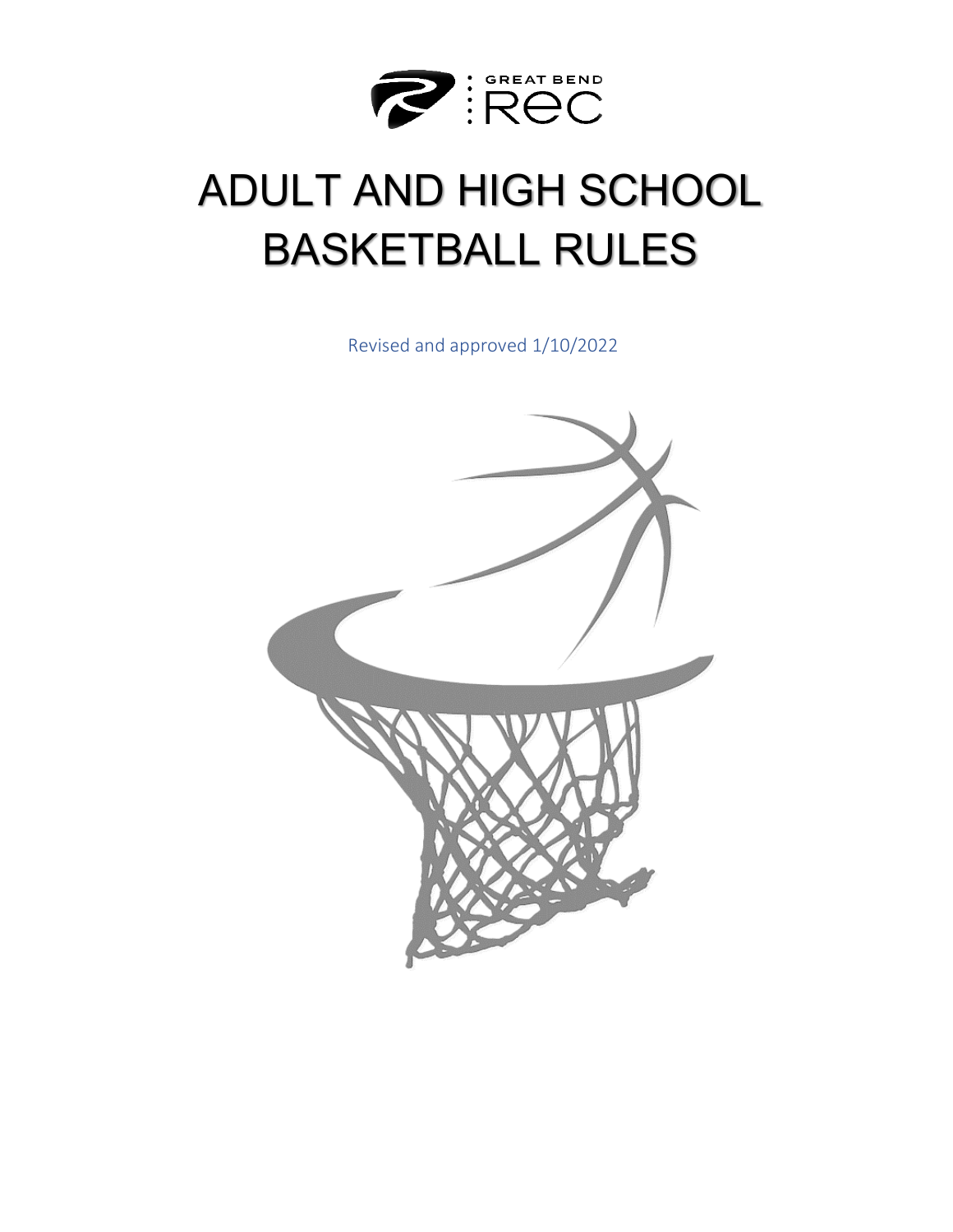

# ADULT AND HIGH SCHOOL BASKETBALL RULES

Revised and approved 1/10/2022

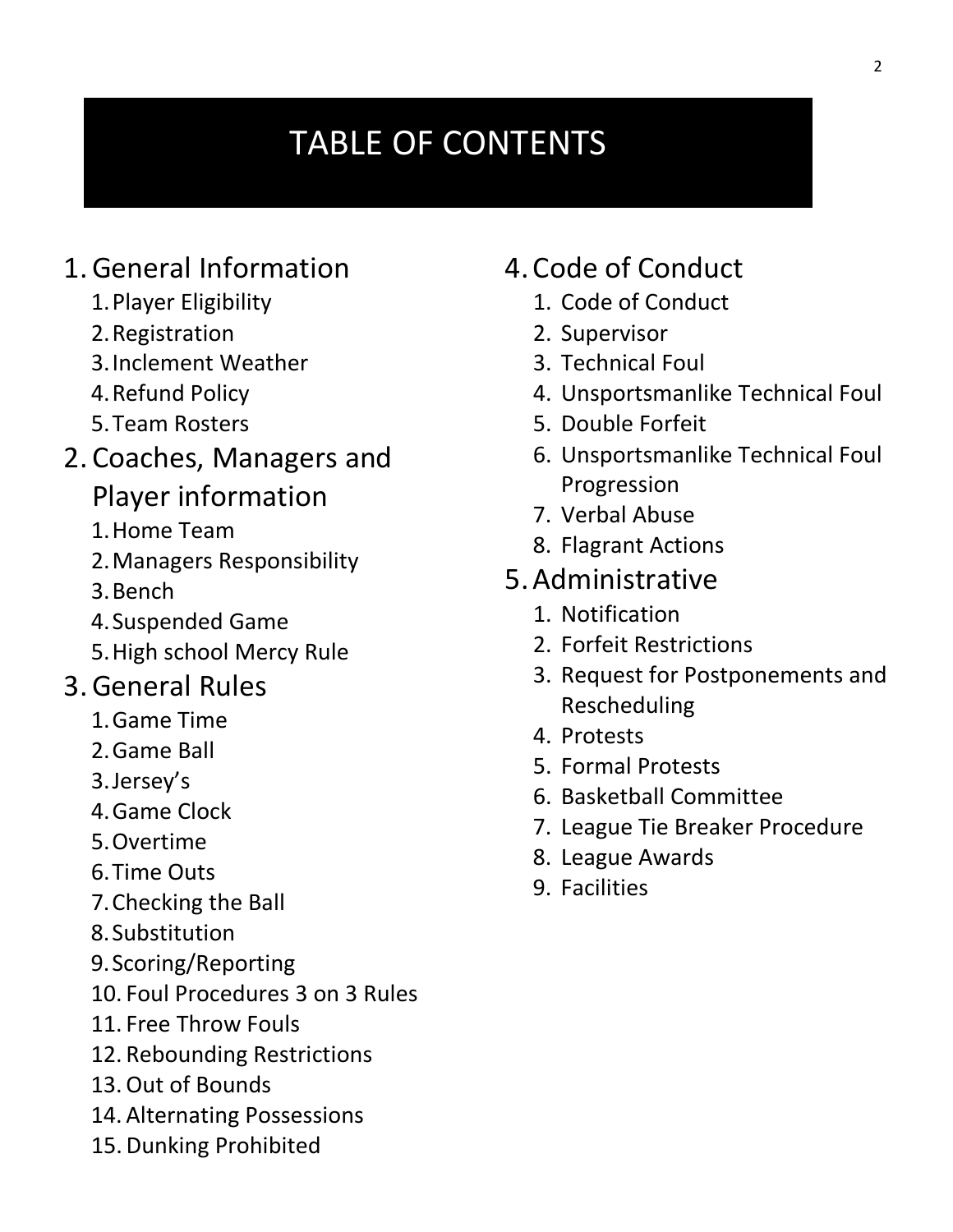# TABLE OF CONTENTS

# 1.General Information

- 1.Player Eligibility
- 2.Registration
- 3.Inclement Weather
- 4.Refund Policy
- 5.Team Rosters
- 2. Coaches, Managers and
	- Player information
	- 1.Home Team
	- 2.Managers Responsibility
	- 3.Bench
	- 4.Suspended Game
	- 5.High school Mercy Rule

# 3.General Rules

- 1.Game Time
- 2.Game Ball
- 3.Jersey's
- 4.Game Clock
- 5.Overtime
- 6.Time Outs
- 7.Checking the Ball
- 8.Substitution
- 9.Scoring/Reporting
- 10. Foul Procedures 3 on 3 Rules
- 11. Free Throw Fouls
- 12. Rebounding Restrictions
- 13.Out of Bounds
- 14. Alternating Possessions
- 15.Dunking Prohibited

## 4. Code of Conduct

- 1. Code of Conduct
- 2. Supervisor
- 3. Technical Foul
- 4. Unsportsmanlike Technical Foul
- 5. Double Forfeit
- 6. Unsportsmanlike Technical Foul Progression
- 7. Verbal Abuse
- 8. Flagrant Actions
- 5.Administrative
	- 1. Notification
	- 2. Forfeit Restrictions
	- 3. Request for Postponements and Rescheduling
	- 4. Protests
	- 5. Formal Protests
	- 6. Basketball Committee
	- 7. League Tie Breaker Procedure
	- 8. League Awards
	- 9. Facilities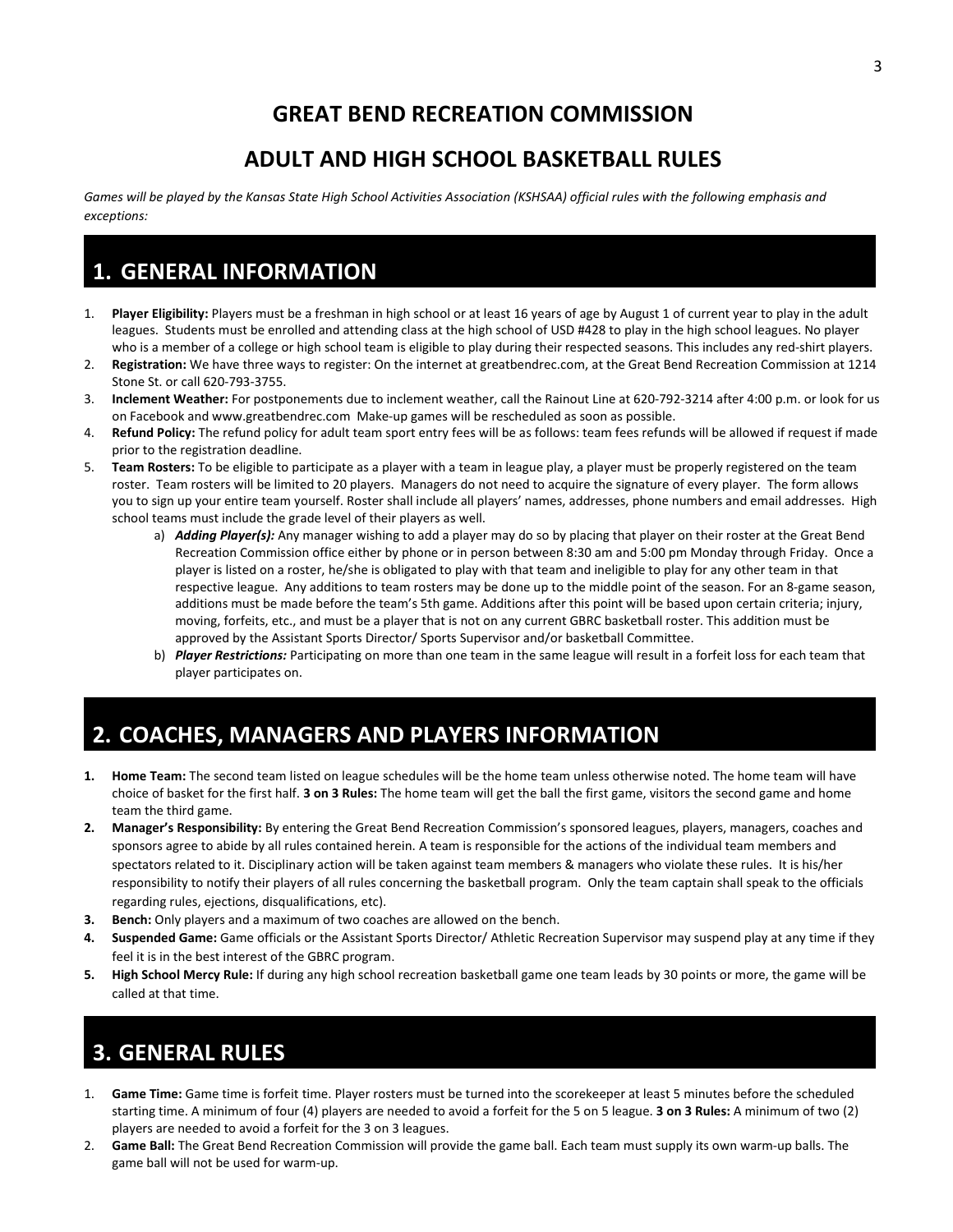#### **GREAT BEND RECREATION COMMISSION**

#### **ADULT AND HIGH SCHOOL BASKETBALL RULES**

Games will be played by the Kansas State High School Activities Association (KSHSAA) official rules with the following emphasis and *exceptions:* 

### **1. GENERAL INFORMATION**

- 1. **Player Eligibility:** Players must be a freshman in high school or at least 16 years of age by August 1 of current year to play in the adult leagues. Students must be enrolled and attending class at the high school of USD #428 to play in the high school leagues. No player who is a member of a college or high school team is eligible to play during their respected seasons. This includes any red-shirt players.
- 2. **Registration:** We have three ways to register: On the internet at greatbendrec.com, at the Great Bend Recreation Commission at 1214 Stone St. or call 620-793-3755.
- 3. **Inclement Weather:** For postponements due to inclement weather, call the Rainout Line at 620-792-3214 after 4:00 p.m. or look for us on Facebook and www.greatbendrec.com Make-up games will be rescheduled as soon as possible.
- 4. **Refund Policy:** The refund policy for adult team sport entry fees will be as follows: team fees refunds will be allowed if request if made prior to the registration deadline.
- 5. **Team Rosters:** To be eligible to participate as a player with a team in league play, a player must be properly registered on the team roster. Team rosters will be limited to 20 players. Managers do not need to acquire the signature of every player. The form allows you to sign up your entire team yourself. Roster shall include all players' names, addresses, phone numbers and email addresses. High school teams must include the grade level of their players as well.
	- a) *Adding Player(s):* Any manager wishing to add a player may do so by placing that player on their roster at the Great Bend Recreation Commission office either by phone or in person between 8:30 am and 5:00 pm Monday through Friday. Once a player is listed on a roster, he/she is obligated to play with that team and ineligible to play for any other team in that respective league. Any additions to team rosters may be done up to the middle point of the season. For an 8-game season, additions must be made before the team's 5th game. Additions after this point will be based upon certain criteria; injury, moving, forfeits, etc., and must be a player that is not on any current GBRC basketball roster. This addition must be approved by the Assistant Sports Director/ Sports Supervisor and/or basketball Committee.
	- b) *Player Restrictions:* Participating on more than one team in the same league will result in a forfeit loss for each team that player participates on.

### **2. COACHES, MANAGERS AND PLAYERS INFORMATION**

- **1. Home Team:** The second team listed on league schedules will be the home team unless otherwise noted. The home team will have choice of basket for the first half. **3 on 3 Rules:** The home team will get the ball the first game, visitors the second game and home team the third game.
- **2. Manager's Responsibility:** By entering the Great Bend Recreation Commission's sponsored leagues, players, managers, coaches and sponsors agree to abide by all rules contained herein. A team is responsible for the actions of the individual team members and spectators related to it. Disciplinary action will be taken against team members & managers who violate these rules. It is his/her responsibility to notify their players of all rules concerning the basketball program. Only the team captain shall speak to the officials regarding rules, ejections, disqualifications, etc).
- **3. Bench:** Only players and a maximum of two coaches are allowed on the bench.
- **4. Suspended Game:** Game officials or the Assistant Sports Director/ Athletic Recreation Supervisor may suspend play at any time if they feel it is in the best interest of the GBRC program.
- **5. High School Mercy Rule:** If during any high school recreation basketball game one team leads by 30 points or more, the game will be called at that time.

## **3. GENERAL RULES**

- 1. **Game Time:** Game time is forfeit time. Player rosters must be turned into the scorekeeper at least 5 minutes before the scheduled starting time. A minimum of four (4) players are needed to avoid a forfeit for the 5 on 5 league. **3 on 3 Rules:** A minimum of two (2) players are needed to avoid a forfeit for the 3 on 3 leagues.
- 2. **Game Ball:** The Great Bend Recreation Commission will provide the game ball. Each team must supply its own warm-up balls. The game ball will not be used for warm-up.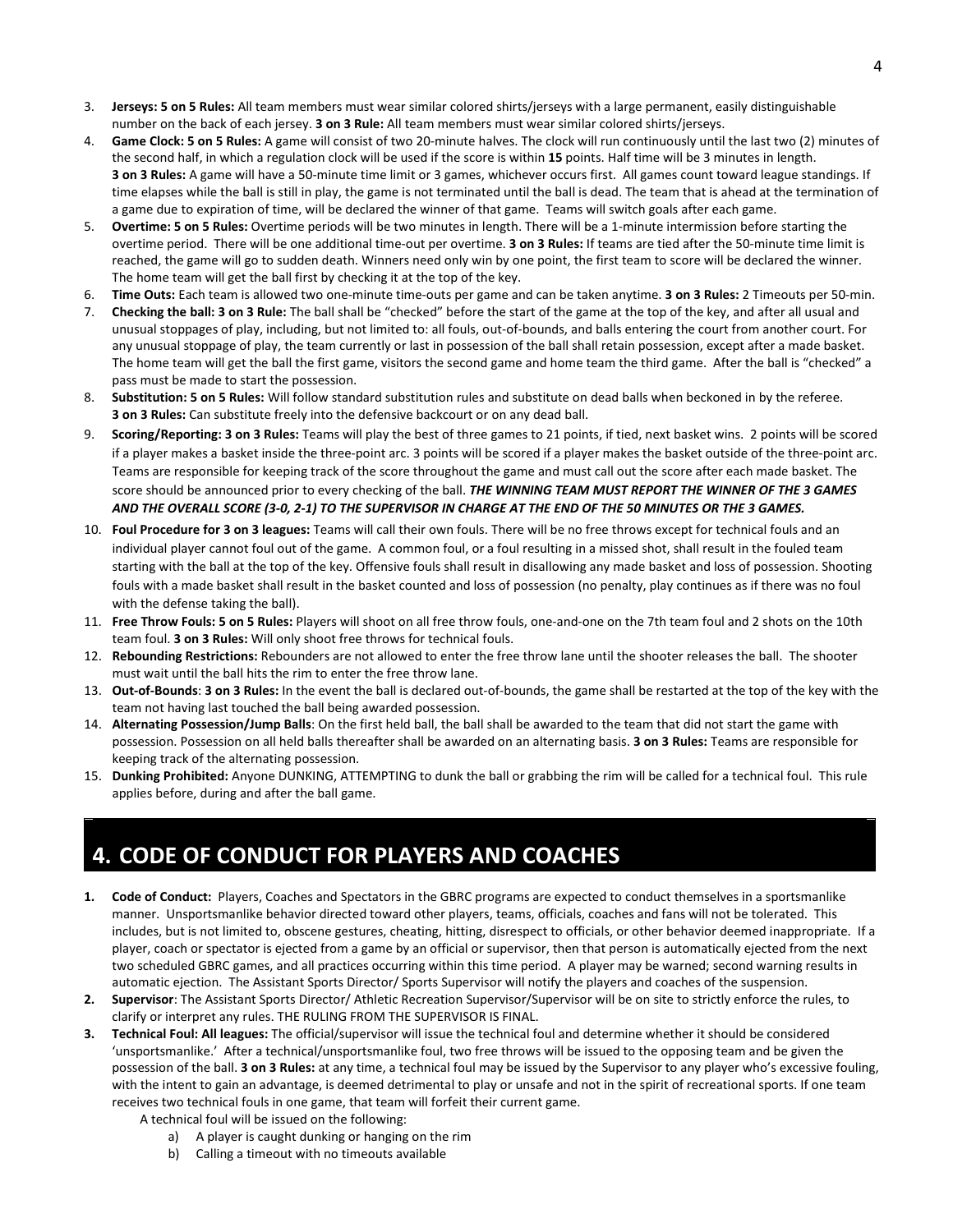- 3. **Jerseys: 5 on 5 Rules:** All team members must wear similar colored shirts/jerseys with a large permanent, easily distinguishable number on the back of each jersey. **3 on 3 Rule:** All team members must wear similar colored shirts/jerseys.
- 4. **Game Clock: 5 on 5 Rules:** A game will consist of two 20-minute halves. The clock will run continuously until the last two (2) minutes of the second half, in which a regulation clock will be used if the score is within **15** points. Half time will be 3 minutes in length. **3 on 3 Rules:** A game will have a 50-minute time limit or 3 games, whichever occurs first. All games count toward league standings. If time elapses while the ball is still in play, the game is not terminated until the ball is dead. The team that is ahead at the termination of a game due to expiration of time, will be declared the winner of that game. Teams will switch goals after each game.
- 5. **Overtime: 5 on 5 Rules:** Overtime periods will be two minutes in length. There will be a 1-minute intermission before starting the overtime period. There will be one additional time-out per overtime. **3 on 3 Rules:** If teams are tied after the 50-minute time limit is reached, the game will go to sudden death. Winners need only win by one point, the first team to score will be declared the winner. The home team will get the ball first by checking it at the top of the key.
- 6. **Time Outs:** Each team is allowed two one-minute time-outs per game and can be taken anytime. **3 on 3 Rules:** 2 Timeouts per 50-min.
- 7. **Checking the ball: 3 on 3 Rule:** The ball shall be "checked" before the start of the game at the top of the key, and after all usual and unusual stoppages of play, including, but not limited to: all fouls, out-of-bounds, and balls entering the court from another court. For any unusual stoppage of play, the team currently or last in possession of the ball shall retain possession, except after a made basket. The home team will get the ball the first game, visitors the second game and home team the third game. After the ball is "checked" a pass must be made to start the possession.
- 8. **Substitution: 5 on 5 Rules:** Will follow standard substitution rules and substitute on dead balls when beckoned in by the referee. **3 on 3 Rules:** Can substitute freely into the defensive backcourt or on any dead ball.
- 9. **Scoring/Reporting: 3 on 3 Rules:** Teams will play the best of three games to 21 points, if tied, next basket wins. 2 points will be scored if a player makes a basket inside the three-point arc. 3 points will be scored if a player makes the basket outside of the three-point arc. Teams are responsible for keeping track of the score throughout the game and must call out the score after each made basket. The score should be announced prior to every checking of the ball. *THE WINNING TEAM MUST REPORT THE WINNER OF THE 3 GAMES AND THE OVERALL SCORE (3-0, 2-1) TO THE SUPERVISOR IN CHARGE AT THE END OF THE 50 MINUTES OR THE 3 GAMES.*
- 10. **Foul Procedure for 3 on 3 leagues:** Teams will call their own fouls. There will be no free throws except for technical fouls and an individual player cannot foul out of the game. A common foul, or a foul resulting in a missed shot, shall result in the fouled team starting with the ball at the top of the key. Offensive fouls shall result in disallowing any made basket and loss of possession. Shooting fouls with a made basket shall result in the basket counted and loss of possession (no penalty, play continues as if there was no foul with the defense taking the ball).
- 11. **Free Throw Fouls: 5 on 5 Rules:** Players will shoot on all free throw fouls, one-and-one on the 7th team foul and 2 shots on the 10th team foul. **3 on 3 Rules:** Will only shoot free throws for technical fouls.
- 12. **Rebounding Restrictions:** Rebounders are not allowed to enter the free throw lane until the shooter releases the ball. The shooter must wait until the ball hits the rim to enter the free throw lane.
- 13. **Out-of-Bounds**: **3 on 3 Rules:** In the event the ball is declared out-of-bounds, the game shall be restarted at the top of the key with the team not having last touched the ball being awarded possession.
- 14. **Alternating Possession/Jump Balls**: On the first held ball, the ball shall be awarded to the team that did not start the game with possession. Possession on all held balls thereafter shall be awarded on an alternating basis. **3 on 3 Rules:** Teams are responsible for keeping track of the alternating possession.
- 15. **Dunking Prohibited:** Anyone DUNKING, ATTEMPTING to dunk the ball or grabbing the rim will be called for a technical foul. This rule applies before, during and after the ball game.

### **4. CODE OF CONDUCT FOR PLAYERS AND COACHES**

- **1. Code of Conduct:** Players, Coaches and Spectators in the GBRC programs are expected to conduct themselves in a sportsmanlike manner. Unsportsmanlike behavior directed toward other players, teams, officials, coaches and fans will not be tolerated. This includes, but is not limited to, obscene gestures, cheating, hitting, disrespect to officials, or other behavior deemed inappropriate. If a player, coach or spectator is ejected from a game by an official or supervisor, then that person is automatically ejected from the next two scheduled GBRC games, and all practices occurring within this time period. A player may be warned; second warning results in automatic ejection. The Assistant Sports Director/ Sports Supervisor will notify the players and coaches of the suspension.
- **2. Supervisor**: The Assistant Sports Director/ Athletic Recreation Supervisor/Supervisor will be on site to strictly enforce the rules, to clarify or interpret any rules. THE RULING FROM THE SUPERVISOR IS FINAL.
- **3. Technical Foul: All leagues:** The official/supervisor will issue the technical foul and determine whether it should be considered 'unsportsmanlike.' After a technical/unsportsmanlike foul, two free throws will be issued to the opposing team and be given the possession of the ball. **3 on 3 Rules:** at any time, a technical foul may be issued by the Supervisor to any player who's excessive fouling, with the intent to gain an advantage, is deemed detrimental to play or unsafe and not in the spirit of recreational sports. If one team receives two technical fouls in one game, that team will forfeit their current game.
	- A technical foul will be issued on the following:
		- a) A player is caught dunking or hanging on the rim
		- b) Calling a timeout with no timeouts available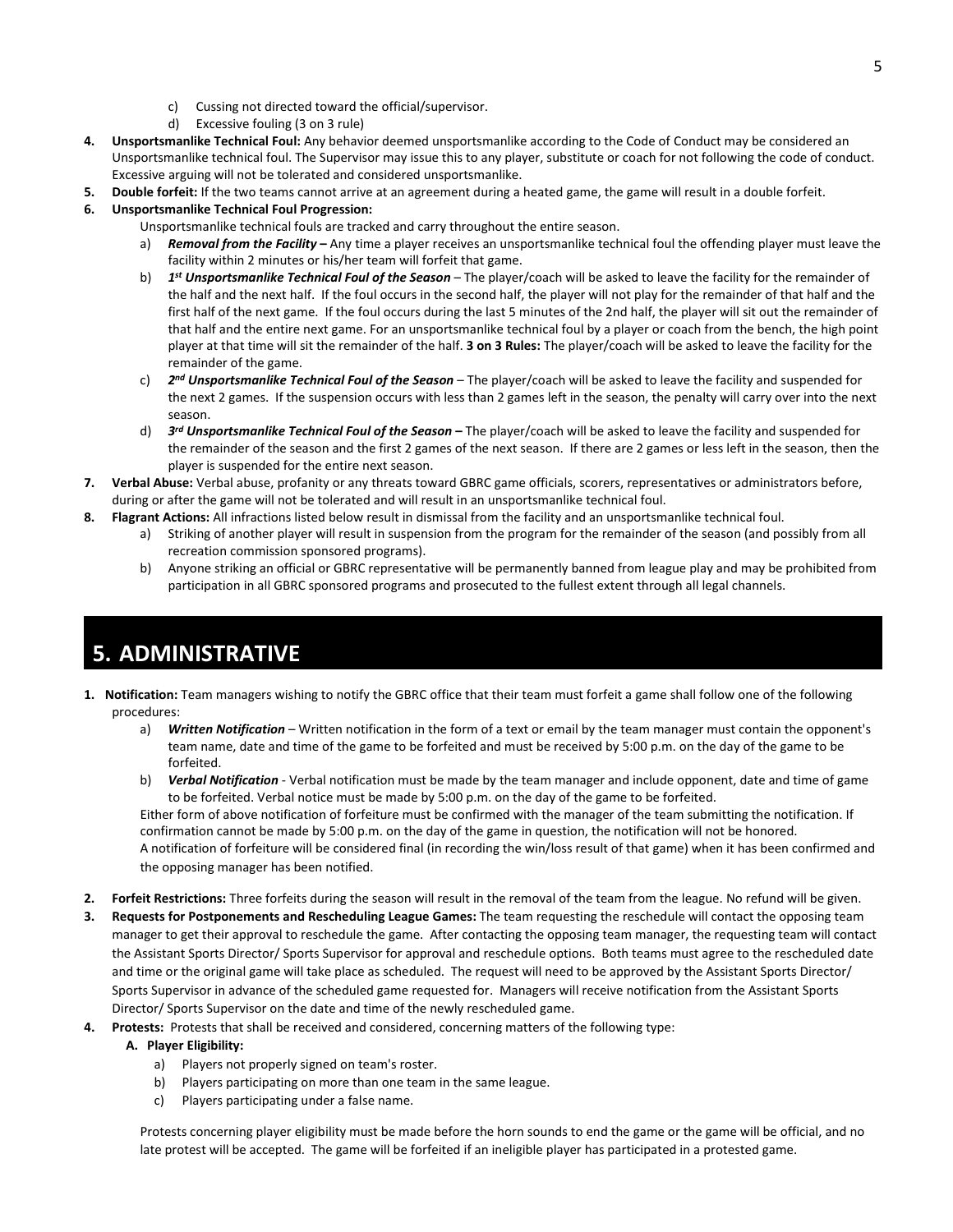- c) Cussing not directed toward the official/supervisor.
- d) Excessive fouling (3 on 3 rule)
- **4. Unsportsmanlike Technical Foul:** Any behavior deemed unsportsmanlike according to the Code of Conduct may be considered an Unsportsmanlike technical foul. The Supervisor may issue this to any player, substitute or coach for not following the code of conduct. Excessive arguing will not be tolerated and considered unsportsmanlike.
- **5. Double forfeit:** If the two teams cannot arrive at an agreement during a heated game, the game will result in a double forfeit.
- **6. Unsportsmanlike Technical Foul Progression:** 
	- Unsportsmanlike technical fouls are tracked and carry throughout the entire season.
		- a) **Removal from the Facility** Any time a player receives an unsportsmanlike technical foul the offending player must leave the facility within 2 minutes or his/her team will forfeit that game.
		- b) *1st Unsportsmanlike Technical Foul of the Season*  The player/coach will be asked to leave the facility for the remainder of the half and the next half. If the foul occurs in the second half, the player will not play for the remainder of that half and the first half of the next game. If the foul occurs during the last 5 minutes of the 2nd half, the player will sit out the remainder of that half and the entire next game. For an unsportsmanlike technical foul by a player or coach from the bench, the high point player at that time will sit the remainder of the half. **3 on 3 Rules:** The player/coach will be asked to leave the facility for the remainder of the game.
		- c) *2nd Unsportsmanlike Technical Foul of the Season* The player/coach will be asked to leave the facility and suspended for the next 2 games. If the suspension occurs with less than 2 games left in the season, the penalty will carry over into the next season.
		- d) *3rd Unsportsmanlike Technical Foul of the Season* **–** The player/coach will be asked to leave the facility and suspended for the remainder of the season and the first 2 games of the next season. If there are 2 games or less left in the season, then the player is suspended for the entire next season.
- **7. Verbal Abuse:** Verbal abuse, profanity or any threats toward GBRC game officials, scorers, representatives or administrators before, during or after the game will not be tolerated and will result in an unsportsmanlike technical foul.
- **8. Flagrant Actions:** All infractions listed below result in dismissal from the facility and an unsportsmanlike technical foul.
	- a) Striking of another player will result in suspension from the program for the remainder of the season (and possibly from all recreation commission sponsored programs).
	- b) Anyone striking an official or GBRC representative will be permanently banned from league play and may be prohibited from participation in all GBRC sponsored programs and prosecuted to the fullest extent through all legal channels.

### **5. ADMINISTRATIVE**

- **1. Notification:** Team managers wishing to notify the GBRC office that their team must forfeit a game shall follow one of the following procedures:
	- a) *Written Notification* Written notification in the form of a text or email by the team manager must contain the opponent's team name, date and time of the game to be forfeited and must be received by 5:00 p.m. on the day of the game to be forfeited.
	- b) *Verbal Notification* Verbal notification must be made by the team manager and include opponent, date and time of game to be forfeited. Verbal notice must be made by 5:00 p.m. on the day of the game to be forfeited.

Either form of above notification of forfeiture must be confirmed with the manager of the team submitting the notification. If confirmation cannot be made by 5:00 p.m. on the day of the game in question, the notification will not be honored. A notification of forfeiture will be considered final (in recording the win/loss result of that game) when it has been confirmed and the opposing manager has been notified.

- **2. Forfeit Restrictions:** Three forfeits during the season will result in the removal of the team from the league. No refund will be given.
- **3. Requests for Postponements and Rescheduling League Games:** The team requesting the reschedule will contact the opposing team manager to get their approval to reschedule the game. After contacting the opposing team manager, the requesting team will contact the Assistant Sports Director/ Sports Supervisor for approval and reschedule options. Both teams must agree to the rescheduled date and time or the original game will take place as scheduled. The request will need to be approved by the Assistant Sports Director/ Sports Supervisor in advance of the scheduled game requested for. Managers will receive notification from the Assistant Sports Director/ Sports Supervisor on the date and time of the newly rescheduled game.
- **4. Protests:** Protests that shall be received and considered, concerning matters of the following type:

#### **A. Player Eligibility:**

- a) Players not properly signed on team's roster.
- b) Players participating on more than one team in the same league.
- c) Players participating under a false name.

Protests concerning player eligibility must be made before the horn sounds to end the game or the game will be official, and no late protest will be accepted. The game will be forfeited if an ineligible player has participated in a protested game.